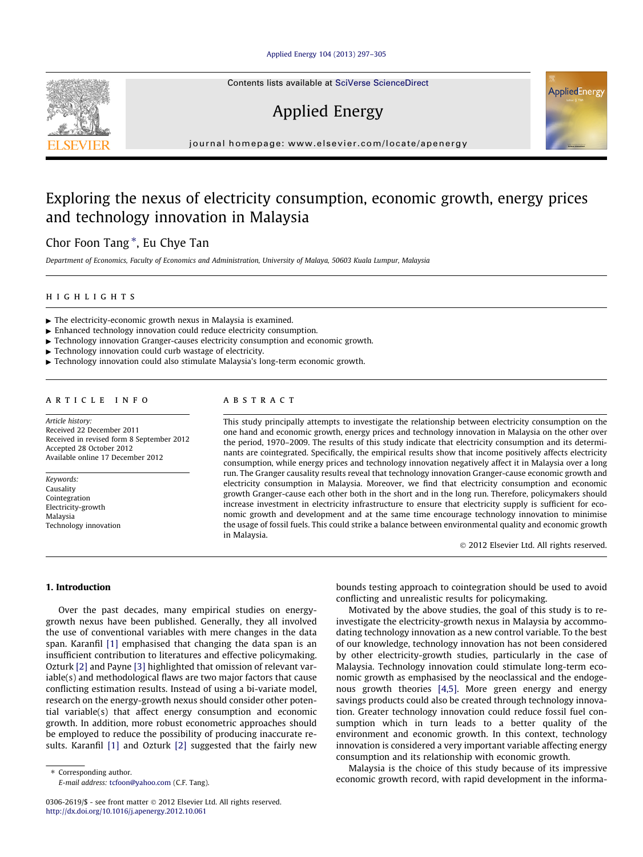# [Applied Energy 104 \(2013\) 297–305](http://dx.doi.org/10.1016/j.apenergy.2012.10.061)



# Applied Energy

journal homepage: [www.elsevier.com/locate/apenergy](http://www.elsevier.com/locate/apenergy)

# Exploring the nexus of electricity consumption, economic growth, energy prices and technology innovation in Malaysia

# Chor Foon Tang<sup>\*</sup>, Eu Chye Tan

Department of Economics, Faculty of Economics and Administration, University of Malaya, 50603 Kuala Lumpur, Malaysia

# highlights

- $\blacktriangleright$  The electricity-economic growth nexus in Malaysia is examined.
- $\blacktriangleright$  Enhanced technology innovation could reduce electricity consumption.
- $\blacktriangleright$  Technology innovation Granger-causes electricity consumption and economic growth.
- $\blacktriangleright$  Technology innovation could curb wastage of electricity.
- $\blacktriangleright$  Technology innovation could also stimulate Malaysia's long-term economic growth.

### article info

Article history: Received 22 December 2011 Received in revised form 8 September 2012 Accepted 28 October 2012 Available online 17 December 2012

Keywords: Causality Cointegration Electricity-growth Malaysia Technology innovation

# ABSTRACT

This study principally attempts to investigate the relationship between electricity consumption on the one hand and economic growth, energy prices and technology innovation in Malaysia on the other over the period, 1970–2009. The results of this study indicate that electricity consumption and its determinants are cointegrated. Specifically, the empirical results show that income positively affects electricity consumption, while energy prices and technology innovation negatively affect it in Malaysia over a long run. The Granger causality results reveal that technology innovation Granger-cause economic growth and electricity consumption in Malaysia. Moreover, we find that electricity consumption and economic growth Granger-cause each other both in the short and in the long run. Therefore, policymakers should increase investment in electricity infrastructure to ensure that electricity supply is sufficient for economic growth and development and at the same time encourage technology innovation to minimise the usage of fossil fuels. This could strike a balance between environmental quality and economic growth in Malaysia.

- 2012 Elsevier Ltd. All rights reserved.

# 1. Introduction

Over the past decades, many empirical studies on energygrowth nexus have been published. Generally, they all involved the use of conventional variables with mere changes in the data span. Karanfil [\[1\]](#page--1-0) emphasised that changing the data span is an insufficient contribution to literatures and effective policymaking. Ozturk [\[2\]](#page--1-0) and Payne [\[3\]](#page--1-0) highlighted that omission of relevant variable(s) and methodological flaws are two major factors that cause conflicting estimation results. Instead of using a bi-variate model, research on the energy-growth nexus should consider other potential variable(s) that affect energy consumption and economic growth. In addition, more robust econometric approaches should be employed to reduce the possibility of producing inaccurate results. Karanfil [\[1\]](#page--1-0) and Ozturk [\[2\]](#page--1-0) suggested that the fairly new

⇑ Corresponding author. E-mail address: [tcfoon@yahoo.com](mailto:tcfoon@yahoo.com) (C.F. Tang). bounds testing approach to cointegration should be used to avoid conflicting and unrealistic results for policymaking.

Motivated by the above studies, the goal of this study is to reinvestigate the electricity-growth nexus in Malaysia by accommodating technology innovation as a new control variable. To the best of our knowledge, technology innovation has not been considered by other electricity-growth studies, particularly in the case of Malaysia. Technology innovation could stimulate long-term economic growth as emphasised by the neoclassical and the endogenous growth theories [\[4,5\]](#page--1-0). More green energy and energy savings products could also be created through technology innovation. Greater technology innovation could reduce fossil fuel consumption which in turn leads to a better quality of the environment and economic growth. In this context, technology innovation is considered a very important variable affecting energy consumption and its relationship with economic growth.

Malaysia is the choice of this study because of its impressive economic growth record, with rapid development in the informa-





<sup>0306-2619/\$ -</sup> see front matter © 2012 Elsevier Ltd. All rights reserved. <http://dx.doi.org/10.1016/j.apenergy.2012.10.061>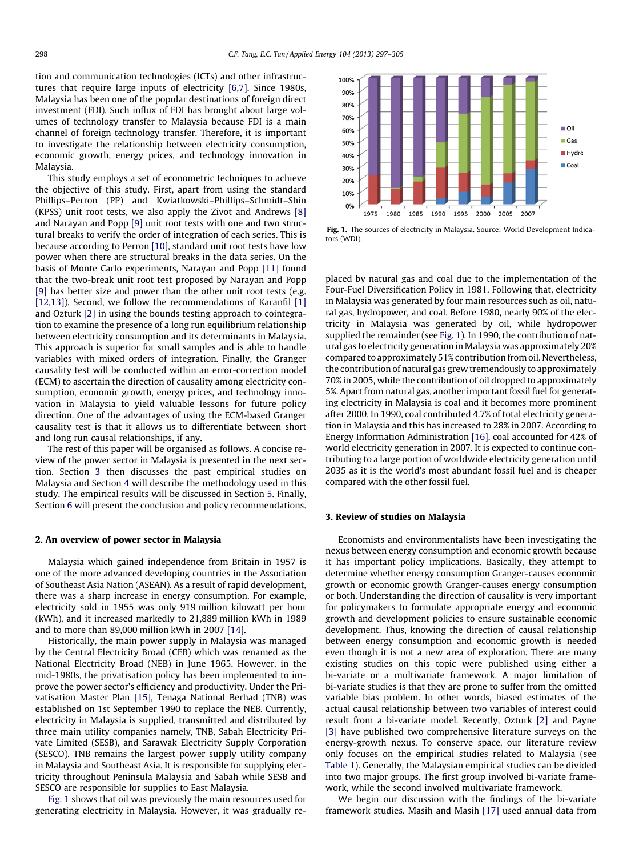tion and communication technologies (ICTs) and other infrastructures that require large inputs of electricity [\[6,7\]](#page--1-0). Since 1980s, Malaysia has been one of the popular destinations of foreign direct investment (FDI). Such influx of FDI has brought about large volumes of technology transfer to Malaysia because FDI is a main channel of foreign technology transfer. Therefore, it is important to investigate the relationship between electricity consumption, economic growth, energy prices, and technology innovation in Malaysia.

This study employs a set of econometric techniques to achieve the objective of this study. First, apart from using the standard Phillips–Perron (PP) and Kwiatkowski–Phillips–Schmidt–Shin (KPSS) unit root tests, we also apply the Zivot and Andrews [\[8\]](#page--1-0) and Narayan and Popp [\[9\]](#page--1-0) unit root tests with one and two structural breaks to verify the order of integration of each series. This is because according to Perron [\[10\],](#page--1-0) standard unit root tests have low power when there are structural breaks in the data series. On the basis of Monte Carlo experiments, Narayan and Popp [\[11\]](#page--1-0) found that the two-break unit root test proposed by Narayan and Popp [\[9\]](#page--1-0) has better size and power than the other unit root tests (e.g. [\[12,13\]\)](#page--1-0). Second, we follow the recommendations of Karanfil [\[1\]](#page--1-0) and Ozturk [\[2\]](#page--1-0) in using the bounds testing approach to cointegration to examine the presence of a long run equilibrium relationship between electricity consumption and its determinants in Malaysia. This approach is superior for small samples and is able to handle variables with mixed orders of integration. Finally, the Granger causality test will be conducted within an error-correction model (ECM) to ascertain the direction of causality among electricity consumption, economic growth, energy prices, and technology innovation in Malaysia to yield valuable lessons for future policy direction. One of the advantages of using the ECM-based Granger causality test is that it allows us to differentiate between short and long run causal relationships, if any.

The rest of this paper will be organised as follows. A concise review of the power sector in Malaysia is presented in the next section. Section 3 then discusses the past empirical studies on Malaysia and Section [4](#page--1-0) will describe the methodology used in this study. The empirical results will be discussed in Section [5](#page--1-0). Finally, Section [6](#page--1-0) will present the conclusion and policy recommendations.

### 2. An overview of power sector in Malaysia

Malaysia which gained independence from Britain in 1957 is one of the more advanced developing countries in the Association of Southeast Asia Nation (ASEAN). As a result of rapid development, there was a sharp increase in energy consumption. For example, electricity sold in 1955 was only 919 million kilowatt per hour (kWh), and it increased markedly to 21,889 million kWh in 1989 and to more than 89,000 million kWh in 2007 [\[14\]](#page--1-0).

Historically, the main power supply in Malaysia was managed by the Central Electricity Broad (CEB) which was renamed as the National Electricity Broad (NEB) in June 1965. However, in the mid-1980s, the privatisation policy has been implemented to improve the power sector's efficiency and productivity. Under the Privatisation Master Plan [\[15\],](#page--1-0) Tenaga National Berhad (TNB) was established on 1st September 1990 to replace the NEB. Currently, electricity in Malaysia is supplied, transmitted and distributed by three main utility companies namely, TNB, Sabah Electricity Private Limited (SESB), and Sarawak Electricity Supply Corporation (SESCO). TNB remains the largest power supply utility company in Malaysia and Southeast Asia. It is responsible for supplying electricity throughout Peninsula Malaysia and Sabah while SESB and SESCO are responsible for supplies to East Malaysia.

Fig. 1 shows that oil was previously the main resources used for generating electricity in Malaysia. However, it was gradually re-



Fig. 1. The sources of electricity in Malaysia. Source: World Development Indicators (WDI).

placed by natural gas and coal due to the implementation of the Four-Fuel Diversification Policy in 1981. Following that, electricity in Malaysia was generated by four main resources such as oil, natural gas, hydropower, and coal. Before 1980, nearly 90% of the electricity in Malaysia was generated by oil, while hydropower supplied the remainder (see Fig. 1). In 1990, the contribution of natural gas to electricity generation in Malaysia was approximately 20% compared to approximately 51% contribution from oil. Nevertheless, the contribution of natural gas grew tremendously to approximately 70% in 2005, while the contribution of oil dropped to approximately 5%. Apart from natural gas, another important fossil fuel for generating electricity in Malaysia is coal and it becomes more prominent after 2000. In 1990, coal contributed 4.7% of total electricity generation in Malaysia and this has increased to 28% in 2007. According to Energy Information Administration [\[16\]](#page--1-0), coal accounted for 42% of world electricity generation in 2007. It is expected to continue contributing to a large portion of worldwide electricity generation until 2035 as it is the world's most abundant fossil fuel and is cheaper compared with the other fossil fuel.

### 3. Review of studies on Malaysia

Economists and environmentalists have been investigating the nexus between energy consumption and economic growth because it has important policy implications. Basically, they attempt to determine whether energy consumption Granger-causes economic growth or economic growth Granger-causes energy consumption or both. Understanding the direction of causality is very important for policymakers to formulate appropriate energy and economic growth and development policies to ensure sustainable economic development. Thus, knowing the direction of causal relationship between energy consumption and economic growth is needed even though it is not a new area of exploration. There are many existing studies on this topic were published using either a bi-variate or a multivariate framework. A major limitation of bi-variate studies is that they are prone to suffer from the omitted variable bias problem. In other words, biased estimates of the actual causal relationship between two variables of interest could result from a bi-variate model. Recently, Ozturk [\[2\]](#page--1-0) and Payne [\[3\]](#page--1-0) have published two comprehensive literature surveys on the energy-growth nexus. To conserve space, our literature review only focuses on the empirical studies related to Malaysia (see [Table 1\)](#page--1-0). Generally, the Malaysian empirical studies can be divided into two major groups. The first group involved bi-variate framework, while the second involved multivariate framework.

We begin our discussion with the findings of the bi-variate framework studies. Masih and Masih [\[17\]](#page--1-0) used annual data from